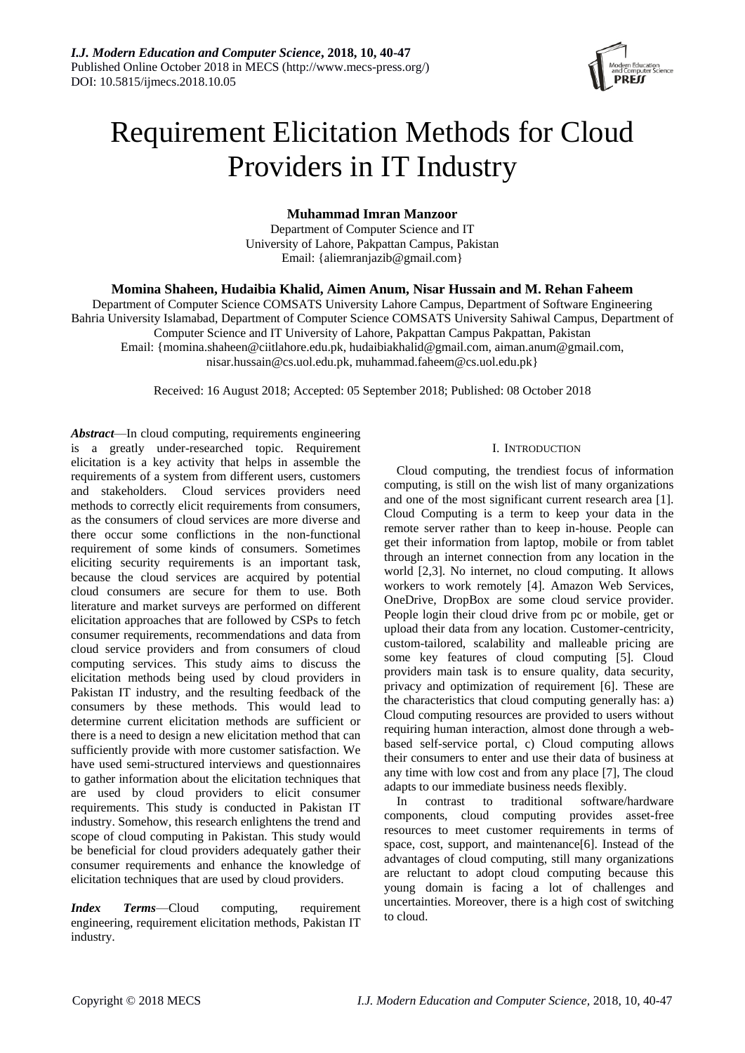

# Requirement Elicitation Methods for Cloud Providers in IT Industry

# **Muhammad Imran Manzoor**

Department of Computer Science and IT University of Lahore, Pakpattan Campus, Pakistan Email: {aliemranjazib@gmail.com}

# **Momina Shaheen, Hudaibia Khalid, Aimen Anum, Nisar Hussain and M. Rehan Faheem**

Department of Computer Science COMSATS University Lahore Campus, Department of Software Engineering Bahria University Islamabad, Department of Computer Science COMSATS University Sahiwal Campus, Department of Computer Science and IT University of Lahore, Pakpattan Campus Pakpattan, Pakistan Email[: {momina.shaheen@ciitlahore.edu.pk, hudaibiakhalid@gmail.com,](mailto:%7Bmomina.shaheen@ciitlahore.edu.pk,%20hudaibiakhalid@gmail.com) aiman.anum@gmail.com, nisar.hussain@cs.uol.edu.pk, muhammad.faheem@cs.uol.edu.pk}

Received: 16 August 2018; Accepted: 05 September 2018; Published: 08 October 2018

*Abstract*—In cloud computing, requirements engineering is a greatly under-researched topic. Requirement elicitation is a key activity that helps in assemble the requirements of a system from different users, customers and stakeholders. Cloud services providers need methods to correctly elicit requirements from consumers, as the consumers of cloud services are more diverse and there occur some conflictions in the non-functional requirement of some kinds of consumers. Sometimes eliciting security requirements is an important task, because the cloud services are acquired by potential cloud consumers are secure for them to use. Both literature and market surveys are performed on different elicitation approaches that are followed by CSPs to fetch consumer requirements, recommendations and data from cloud service providers and from consumers of cloud computing services. This study aims to discuss the elicitation methods being used by cloud providers in Pakistan IT industry, and the resulting feedback of the consumers by these methods. This would lead to determine current elicitation methods are sufficient or there is a need to design a new elicitation method that can sufficiently provide with more customer satisfaction. We have used semi-structured interviews and questionnaires to gather information about the elicitation techniques that are used by cloud providers to elicit consumer requirements. This study is conducted in Pakistan IT industry. Somehow, this research enlightens the trend and scope of cloud computing in Pakistan. This study would be beneficial for cloud providers adequately gather their consumer requirements and enhance the knowledge of elicitation techniques that are used by cloud providers.

*Index Terms*—Cloud computing, requirement engineering, requirement elicitation methods, Pakistan IT industry.

## I. INTRODUCTION

Cloud computing, the trendiest focus of information computing, is still on the wish list of many organizations and one of the most significant current research area [1]. Cloud Computing is a term to keep your data in the remote server rather than to keep in-house. People can get their information from laptop, mobile or from tablet through an internet connection from any location in the world [2,3]. No internet, no cloud computing. It allows workers to work remotely [4]. Amazon Web Services, OneDrive, DropBox are some cloud service provider. People login their cloud drive from pc or mobile, get or upload their data from any location. Customer-centricity, custom-tailored, scalability and malleable pricing are some key features of cloud computing [5]. Cloud providers main task is to ensure quality, data security, privacy and optimization of requirement [6]. These are the characteristics that cloud computing generally has: a) Cloud computing resources are provided to users without requiring human interaction, almost done through a webbased self-service portal, c) Cloud computing allows their consumers to enter and use their data of business at any time with low cost and from any place [7], The cloud adapts to our immediate business needs flexibly.

In contrast to traditional software/hardware components, cloud computing provides asset-free resources to meet customer requirements in terms of space, cost, support, and maintenance[6]. Instead of the advantages of cloud computing, still many organizations are reluctant to adopt cloud computing because this young domain is facing a lot of challenges and uncertainties. Moreover, there is a high cost of switching to cloud.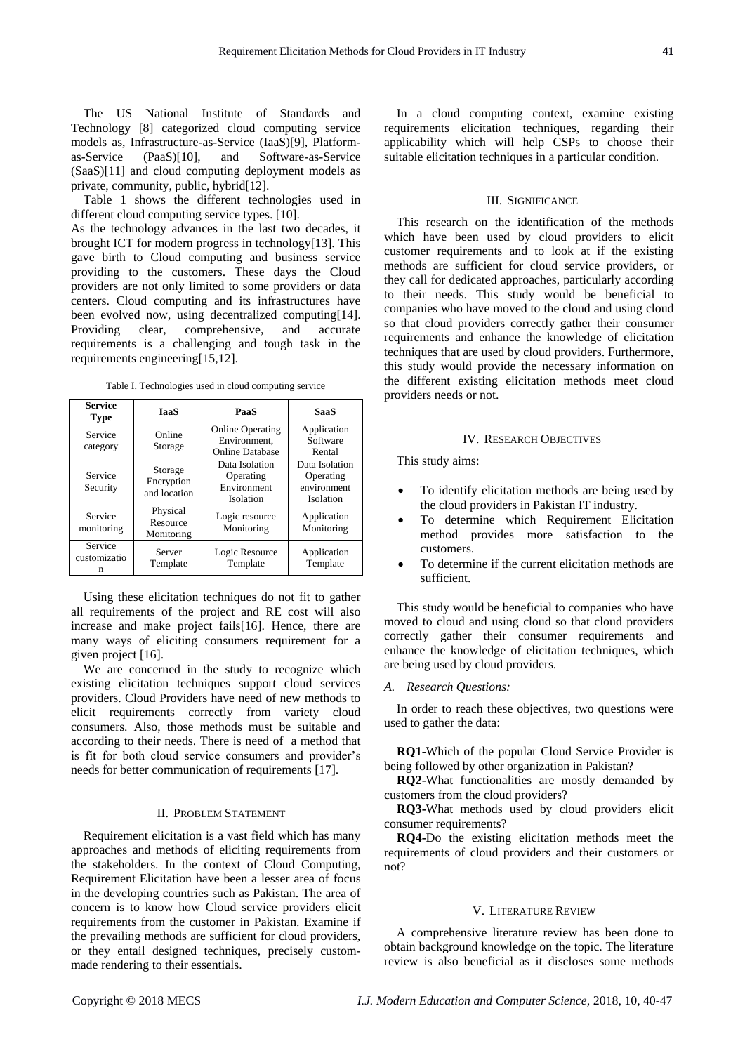The US National Institute of Standards and Technology [8] categorized cloud computing service models as, Infrastructure-as-Service (IaaS)[9], Platformas-Service (PaaS)[10], and Software-as-Service (SaaS)[11] and cloud computing deployment models as private, community, public, hybrid[12].

Table 1 shows the different technologies used in different cloud computing service types. [10].

As the technology advances in the last two decades, it brought ICT for modern progress in technology[13]. This gave birth to Cloud computing and business service providing to the customers. These days the Cloud providers are not only limited to some providers or data centers. Cloud computing and its infrastructures have been evolved now, using decentralized computing[14]. Providing clear, comprehensive, and accurate requirements is a challenging and tough task in the requirements engineering[15,12].

|  | Table I. Technologies used in cloud computing service |  |
|--|-------------------------------------------------------|--|
|  |                                                       |  |
|  |                                                       |  |

| <b>Service</b><br><b>Type</b> | <b>IaaS</b>                           | PaaS                                                              | <b>SaaS</b>                                             |  |
|-------------------------------|---------------------------------------|-------------------------------------------------------------------|---------------------------------------------------------|--|
| Service<br>category           | Online<br>Storage                     | <b>Online Operating</b><br>Environment.<br><b>Online Database</b> | Application<br>Software<br>Rental                       |  |
| Service<br>Security           | Storage<br>Encryption<br>and location | Data Isolation<br>Operating<br>Environment<br>Isolation           | Data Isolation<br>Operating<br>environment<br>Isolation |  |
| Service<br>monitoring         | Physical<br>Resource<br>Monitoring    | Logic resource<br>Monitoring                                      | Application<br>Monitoring                               |  |
| Service<br>customizatio<br>n  | Server<br>Template                    | Logic Resource<br>Template                                        | Application<br>Template                                 |  |

Using these elicitation techniques do not fit to gather all requirements of the project and RE cost will also increase and make project fails[16]. Hence, there are many ways of eliciting consumers requirement for a given project [16].

We are concerned in the study to recognize which existing elicitation techniques support cloud services providers. Cloud Providers have need of new methods to elicit requirements correctly from variety cloud consumers. Also, those methods must be suitable and according to their needs. There is need of a method that is fit for both cloud service consumers and provider's needs for better communication of requirements [17].

#### II. PROBLEM STATEMENT

Requirement elicitation is a vast field which has many approaches and methods of eliciting requirements from the stakeholders. In the context of Cloud Computing, Requirement Elicitation have been a lesser area of focus in the developing countries such as Pakistan. The area of concern is to know how Cloud service providers elicit requirements from the customer in Pakistan. Examine if the prevailing methods are sufficient for cloud providers, or they entail designed techniques, precisely custommade rendering to their essentials.

In a cloud computing context, examine existing requirements elicitation techniques, regarding their applicability which will help CSPs to choose their suitable elicitation techniques in a particular condition.

## III. SIGNIFICANCE

This research on the identification of the methods which have been used by cloud providers to elicit customer requirements and to look at if the existing methods are sufficient for cloud service providers, or they call for dedicated approaches, particularly according to their needs. This study would be beneficial to companies who have moved to the cloud and using cloud so that cloud providers correctly gather their consumer requirements and enhance the knowledge of elicitation techniques that are used by cloud providers. Furthermore, this study would provide the necessary information on the different existing elicitation methods meet cloud providers needs or not.

#### IV. RESEARCH OBJECTIVES

This study aims:

- To identify elicitation methods are being used by the cloud providers in Pakistan IT industry.
- To determine which Requirement Elicitation method provides more satisfaction to the customers.
- To determine if the current elicitation methods are sufficient.

This study would be beneficial to companies who have moved to cloud and using cloud so that cloud providers correctly gather their consumer requirements and enhance the knowledge of elicitation techniques, which are being used by cloud providers.

#### *A. Research Questions:*

In order to reach these objectives, two questions were used to gather the data:

**RQ1-**Which of the popular Cloud Service Provider is being followed by other organization in Pakistan?

**RQ2-**What functionalities are mostly demanded by customers from the cloud providers?

**RQ3-**What methods used by cloud providers elicit consumer requirements?

**RQ4-**Do the existing elicitation methods meet the requirements of cloud providers and their customers or not?

#### V. LITERATURE REVIEW

A comprehensive literature review has been done to obtain background knowledge on the topic. The literature review is also beneficial as it discloses some methods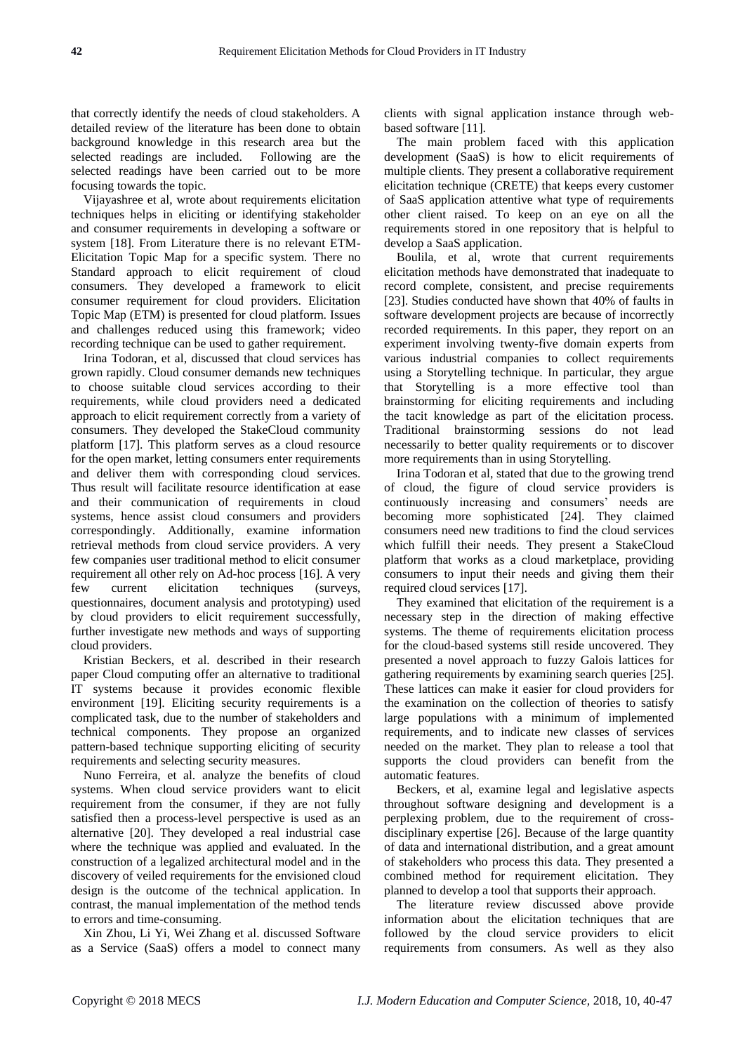that correctly identify the needs of cloud stakeholders. A detailed review of the literature has been done to obtain background knowledge in this research area but the selected readings are included. Following are the selected readings have been carried out to be more focusing towards the topic.

Vijayashree et al, wrote about requirements elicitation techniques helps in eliciting or identifying stakeholder and consumer requirements in developing a software or system [18]. From Literature there is no relevant ETM-Elicitation Topic Map for a specific system. There no Standard approach to elicit requirement of cloud consumers. They developed a framework to elicit consumer requirement for cloud providers. Elicitation Topic Map (ETM) is presented for cloud platform. Issues and challenges reduced using this framework; video recording technique can be used to gather requirement.

Irina Todoran, et al, discussed that cloud services has grown rapidly. Cloud consumer demands new techniques to choose suitable cloud services according to their requirements, while cloud providers need a dedicated approach to elicit requirement correctly from a variety of consumers. They developed the StakeCloud community platform [17]. This platform serves as a cloud resource for the open market, letting consumers enter requirements and deliver them with corresponding cloud services. Thus result will facilitate resource identification at ease and their communication of requirements in cloud systems, hence assist cloud consumers and providers correspondingly. Additionally, examine information retrieval methods from cloud service providers. A very few companies user traditional method to elicit consumer requirement all other rely on Ad-hoc process [16]. A very few current elicitation techniques (surveys, questionnaires, document analysis and prototyping) used by cloud providers to elicit requirement successfully, further investigate new methods and ways of supporting cloud providers.

Kristian Beckers, et al. described in their research paper Cloud computing offer an alternative to traditional IT systems because it provides economic flexible environment [19]. Eliciting security requirements is a complicated task, due to the number of stakeholders and technical components. They propose an organized pattern-based technique supporting eliciting of security requirements and selecting security measures.

Nuno Ferreira, et al. analyze the benefits of cloud systems. When cloud service providers want to elicit requirement from the consumer, if they are not fully satisfied then a process-level perspective is used as an alternative [20]. They developed a real industrial case where the technique was applied and evaluated. In the construction of a legalized architectural model and in the discovery of veiled requirements for the envisioned cloud design is the outcome of the technical application. In contrast, the manual implementation of the method tends to errors and time-consuming.

Xin Zhou, Li Yi, Wei Zhang et al. discussed Software as a Service (SaaS) offers a model to connect many

clients with signal application instance through webbased software [11].

The main problem faced with this application development (SaaS) is how to elicit requirements of multiple clients. They present a collaborative requirement elicitation technique (CRETE) that keeps every customer of SaaS application attentive what type of requirements other client raised. To keep on an eye on all the requirements stored in one repository that is helpful to develop a SaaS application.

Boulila, et al, wrote that current requirements elicitation methods have demonstrated that inadequate to record complete, consistent, and precise requirements [23]. Studies conducted have shown that 40% of faults in software development projects are because of incorrectly recorded requirements. In this paper, they report on an experiment involving twenty-five domain experts from various industrial companies to collect requirements using a Storytelling technique. In particular, they argue that Storytelling is a more effective tool than brainstorming for eliciting requirements and including the tacit knowledge as part of the elicitation process. Traditional brainstorming sessions do not lead necessarily to better quality requirements or to discover more requirements than in using Storytelling.

Irina Todoran et al, stated that due to the growing trend of cloud, the figure of cloud service providers is continuously increasing and consumers' needs are becoming more sophisticated [24]. They claimed consumers need new traditions to find the cloud services which fulfill their needs. They present a StakeCloud platform that works as a cloud marketplace, providing consumers to input their needs and giving them their required cloud services [17].

They examined that elicitation of the requirement is a necessary step in the direction of making effective systems. The theme of requirements elicitation process for the cloud-based systems still reside uncovered. They presented a novel approach to fuzzy Galois lattices for gathering requirements by examining search queries [25]. These lattices can make it easier for cloud providers for the examination on the collection of theories to satisfy large populations with a minimum of implemented requirements, and to indicate new classes of services needed on the market. They plan to release a tool that supports the cloud providers can benefit from the automatic features.

Beckers, et al, examine legal and legislative aspects throughout software designing and development is a perplexing problem, due to the requirement of crossdisciplinary expertise [26]. Because of the large quantity of data and international distribution, and a great amount of stakeholders who process this data. They presented a combined method for requirement elicitation. They planned to develop a tool that supports their approach.

The literature review discussed above provide information about the elicitation techniques that are followed by the cloud service providers to elicit requirements from consumers. As well as they also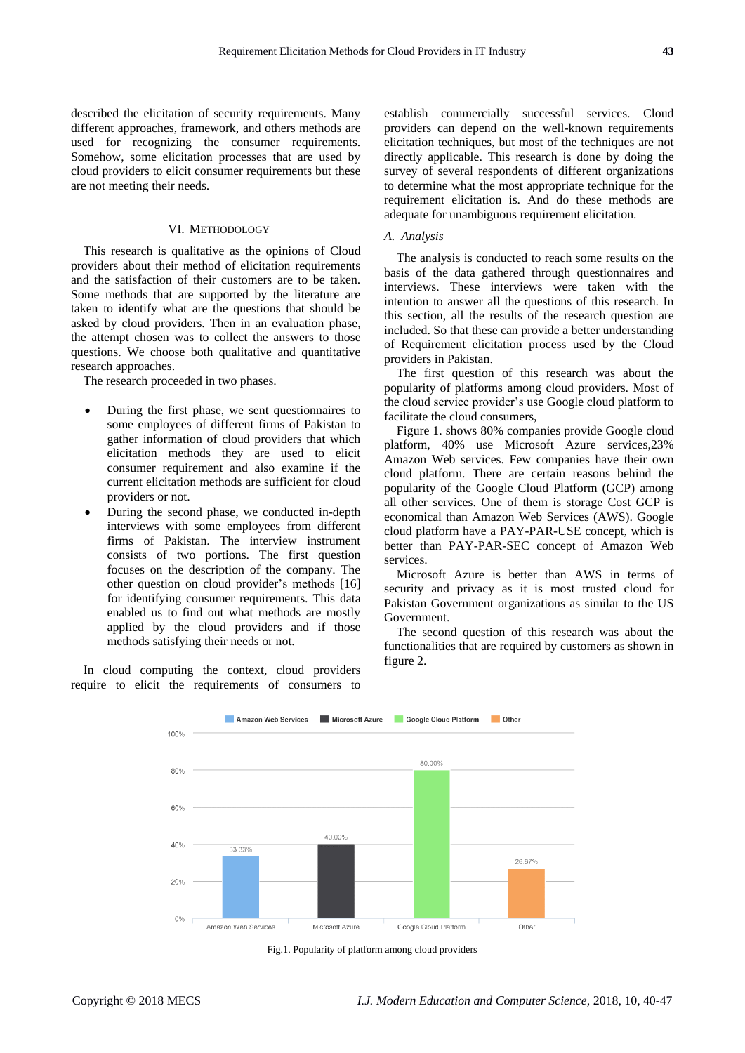described the elicitation of security requirements. Many different approaches, framework, and others methods are used for recognizing the consumer requirements. Somehow, some elicitation processes that are used by cloud providers to elicit consumer requirements but these are not meeting their needs.

## VI. METHODOLOGY

This research is qualitative as the opinions of Cloud providers about their method of elicitation requirements and the satisfaction of their customers are to be taken. Some methods that are supported by the literature are taken to identify what are the questions that should be asked by cloud providers. Then in an evaluation phase, the attempt chosen was to collect the answers to those questions. We choose both qualitative and quantitative research approaches.

The research proceeded in two phases.

- During the first phase, we sent questionnaires to some employees of different firms of Pakistan to gather information of cloud providers that which elicitation methods they are used to elicit consumer requirement and also examine if the current elicitation methods are sufficient for cloud providers or not.
- During the second phase, we conducted in-depth interviews with some employees from different firms of Pakistan. The interview instrument consists of two portions. The first question focuses on the description of the company. The other question on cloud provider's methods [16] for identifying consumer requirements. This data enabled us to find out what methods are mostly applied by the cloud providers and if those methods satisfying their needs or not.

In cloud computing the context, cloud providers require to elicit the requirements of consumers to

establish commercially successful services. Cloud providers can depend on the well-known requirements elicitation techniques, but most of the techniques are not directly applicable. This research is done by doing the survey of several respondents of different organizations to determine what the most appropriate technique for the requirement elicitation is. And do these methods are adequate for unambiguous requirement elicitation.

### *A. Analysis*

The analysis is conducted to reach some results on the basis of the data gathered through questionnaires and interviews. These interviews were taken with the intention to answer all the questions of this research. In this section, all the results of the research question are included. So that these can provide a better understanding of Requirement elicitation process used by the Cloud providers in Pakistan.

The first question of this research was about the popularity of platforms among cloud providers. Most of the cloud service provider's use Google cloud platform to facilitate the cloud consumers,

Figure 1. shows 80% companies provide Google cloud platform, 40% use Microsoft Azure services,23% Amazon Web services. Few companies have their own cloud platform. There are certain reasons behind the popularity of the Google Cloud Platform (GCP) among all other services. One of them is storage Cost GCP is economical than Amazon Web Services (AWS). Google cloud platform have a PAY-PAR-USE concept, which is better than PAY-PAR-SEC concept of Amazon Web services.

Microsoft Azure is better than AWS in terms of security and privacy as it is most trusted cloud for Pakistan Government organizations as similar to the US Government.

The second question of this research was about the functionalities that are required by customers as shown in figure 2.



Fig.1. Popularity of platform among cloud providers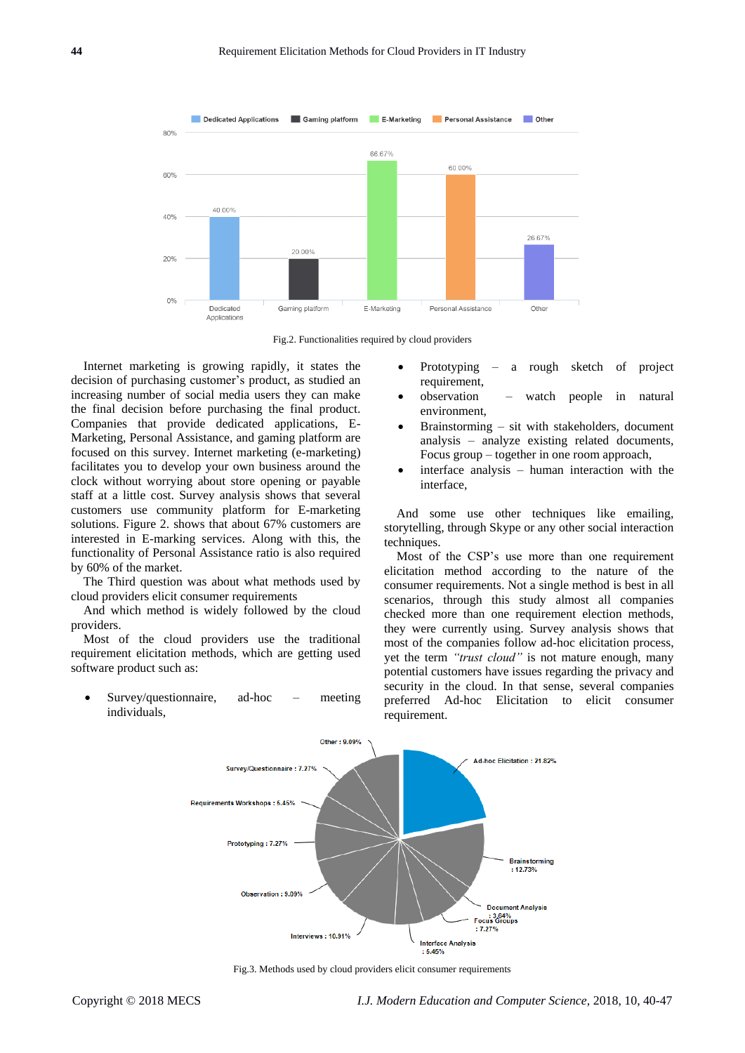



Internet marketing is growing rapidly, it states the decision of purchasing customer's product, as studied an increasing number of social media users they can make the final decision before purchasing the final product. Companies that provide dedicated applications, E-Marketing, Personal Assistance, and gaming platform are focused on this survey. Internet marketing (e-marketing) facilitates you to develop your own business around the clock without worrying about store opening or payable staff at a little cost. Survey analysis shows that several customers use community platform for E-marketing solutions. Figure 2. shows that about 67% customers are interested in E-marking services. Along with this, the functionality of Personal Assistance ratio is also required by 60% of the market.

The Third question was about what methods used by cloud providers elicit consumer requirements

And which method is widely followed by the cloud providers.

Most of the cloud providers use the traditional requirement elicitation methods, which are getting used software product such as:

• Survey/questionnaire, ad-hoc – meeting individuals,

- Prototyping a rough sketch of project requirement,
- observation watch people in natural environment,
- Brainstorming sit with stakeholders, document analysis – analyze existing related documents, Focus group – together in one room approach,
- interface analysis human interaction with the interface,

And some use other techniques like emailing, storytelling, through Skype or any other social interaction techniques.

Most of the CSP's use more than one requirement elicitation method according to the nature of the consumer requirements. Not a single method is best in all scenarios, through this study almost all companies checked more than one requirement election methods, they were currently using. Survey analysis shows that most of the companies follow ad-hoc elicitation process, yet the term *"trust cloud"* is not mature enough, many potential customers have issues regarding the privacy and security in the cloud. In that sense, several companies preferred Ad-hoc Elicitation to elicit consumer requirement.



Fig.3. Methods used by cloud providers elicit consumer requirements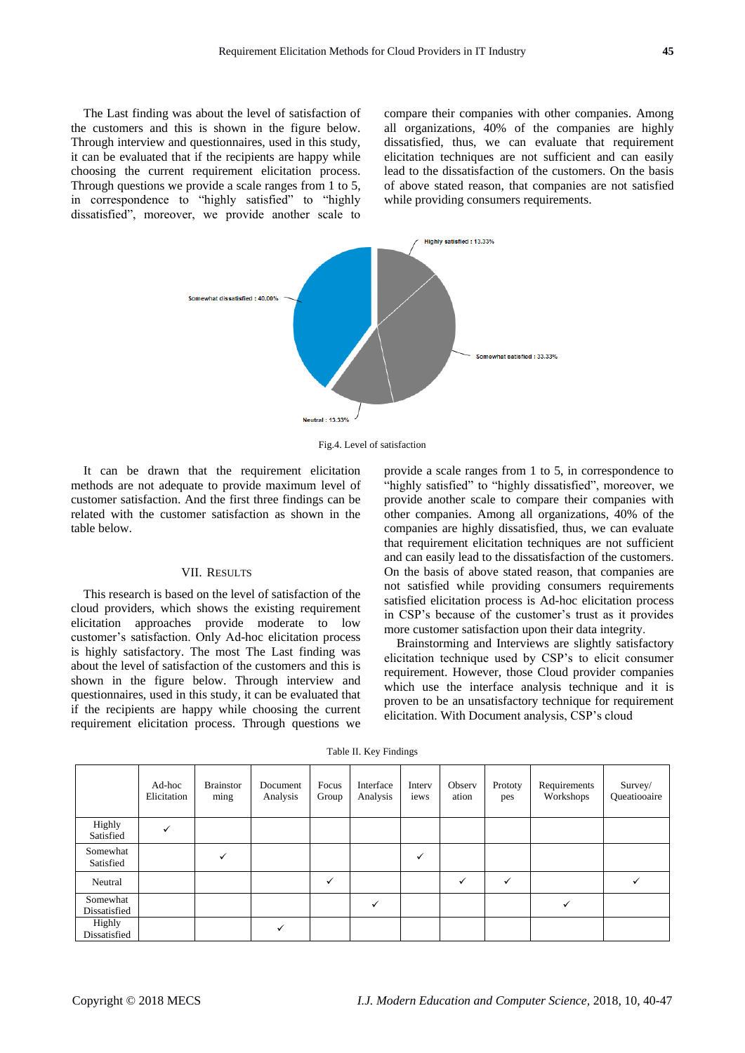The Last finding was about the level of satisfaction of the customers and this is shown in the figure below. Through interview and questionnaires, used in this study, it can be evaluated that if the recipients are happy while choosing the current requirement elicitation process. Through questions we provide a scale ranges from 1 to 5, in correspondence to "highly satisfied" to "highly dissatisfied", moreover, we provide another scale to compare their companies with other companies. Among all organizations, 40% of the companies are highly dissatisfied, thus, we can evaluate that requirement elicitation techniques are not sufficient and can easily lead to the dissatisfaction of the customers. On the basis of above stated reason, that companies are not satisfied while providing consumers requirements.



Fig.4. Level of satisfaction

It can be drawn that the requirement elicitation methods are not adequate to provide maximum level of customer satisfaction. And the first three findings can be related with the customer satisfaction as shown in the table below.

## VII. RESULTS

This research is based on the level of satisfaction of the cloud providers, which shows the existing requirement elicitation approaches provide moderate to low customer's satisfaction. Only Ad-hoc elicitation process is highly satisfactory. The most The Last finding was about the level of satisfaction of the customers and this is shown in the figure below. Through interview and questionnaires, used in this study, it can be evaluated that if the recipients are happy while choosing the current requirement elicitation process. Through questions we provide a scale ranges from 1 to 5, in correspondence to "highly satisfied" to "highly dissatisfied", moreover, we provide another scale to compare their companies with other companies. Among all organizations, 40% of the companies are highly dissatisfied, thus, we can evaluate that requirement elicitation techniques are not sufficient and can easily lead to the dissatisfaction of the customers. On the basis of above stated reason, that companies are not satisfied while providing consumers requirements satisfied elicitation process is Ad-hoc elicitation process in CSP's because of the customer's trust as it provides more customer satisfaction upon their data integrity.

Brainstorming and Interviews are slightly satisfactory elicitation technique used by CSP's to elicit consumer requirement. However, those Cloud provider companies which use the interface analysis technique and it is proven to be an unsatisfactory technique for requirement elicitation. With Document analysis, CSP's cloud

|                          | Ad-hoc<br>Elicitation | <b>Brainstor</b><br>ming | Document<br>Analysis | Focus<br>Group | Interface<br>Analysis | Interv<br>iews | Observ<br>ation | Prototy<br>pes | Requirements<br>Workshops | Survey/<br>Queatiooaire |
|--------------------------|-----------------------|--------------------------|----------------------|----------------|-----------------------|----------------|-----------------|----------------|---------------------------|-------------------------|
| Highly<br>Satisfied      | ✓                     |                          |                      |                |                       |                |                 |                |                           |                         |
| Somewhat<br>Satisfied    |                       | $\checkmark$             |                      |                |                       | ✓              |                 |                |                           |                         |
| Neutral                  |                       |                          |                      | $\checkmark$   |                       |                | ✓               | $\checkmark$   |                           |                         |
| Somewhat<br>Dissatisfied |                       |                          |                      |                | ✓                     |                |                 |                | ✓                         |                         |
| Highly<br>Dissatisfied   |                       |                          |                      |                |                       |                |                 |                |                           |                         |

Table II. Key Findings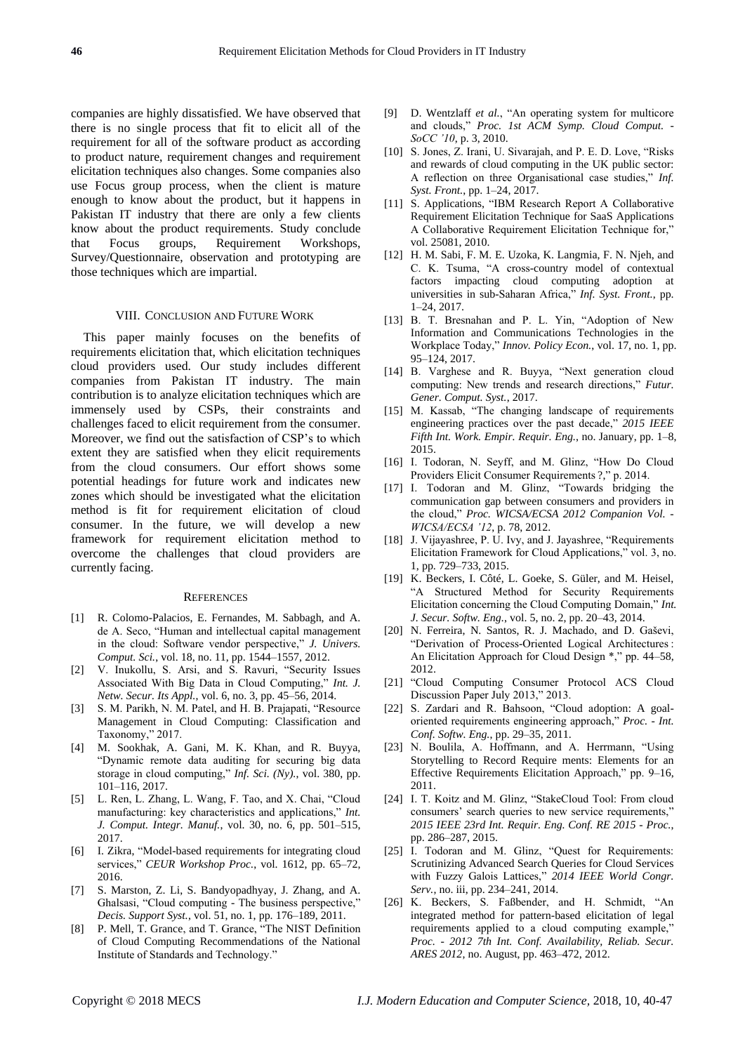companies are highly dissatisfied. We have observed that there is no single process that fit to elicit all of the requirement for all of the software product as according to product nature, requirement changes and requirement elicitation techniques also changes. Some companies also use Focus group process, when the client is mature enough to know about the product, but it happens in Pakistan IT industry that there are only a few clients know about the product requirements. Study conclude that Focus groups, Requirement Workshops, Survey/Questionnaire, observation and prototyping are those techniques which are impartial.

#### VIII. CONCLUSION AND FUTURE WORK

This paper mainly focuses on the benefits of requirements elicitation that, which elicitation techniques cloud providers used. Our study includes different companies from Pakistan IT industry. The main contribution is to analyze elicitation techniques which are immensely used by CSPs, their constraints and challenges faced to elicit requirement from the consumer. Moreover, we find out the satisfaction of CSP's to which extent they are satisfied when they elicit requirements from the cloud consumers. Our effort shows some potential headings for future work and indicates new zones which should be investigated what the elicitation method is fit for requirement elicitation of cloud consumer. In the future, we will develop a new framework for requirement elicitation method to overcome the challenges that cloud providers are currently facing.

#### **REFERENCES**

- [1] R. Colomo-Palacios, E. Fernandes, M. Sabbagh, and A. de A. Seco, "Human and intellectual capital management in the cloud: Software vendor perspective," *J. Univers. Comput. Sci.*, vol. 18, no. 11, pp. 1544–1557, 2012.
- [2] V. Inukollu, S. Arsi, and S. Ravuri, "Security Issues Associated With Big Data in Cloud Computing," *Int. J. Netw. Secur. Its Appl.*, vol. 6, no. 3, pp. 45–56, 2014.
- [3] S. M. Parikh, N. M. Patel, and H. B. Prajapati, "Resource Management in Cloud Computing: Classification and Taxonomy," 2017.
- [4] M. Sookhak, A. Gani, M. K. Khan, and R. Buyya, "Dynamic remote data auditing for securing big data storage in cloud computing," *Inf. Sci. (Ny).*, vol. 380, pp. 101–116, 2017.
- [5] L. Ren, L. Zhang, L. Wang, F. Tao, and X. Chai, "Cloud manufacturing: key characteristics and applications," *Int. J. Comput. Integr. Manuf.*, vol. 30, no. 6, pp. 501–515, 2017.
- [6] I. Zikra, "Model-based requirements for integrating cloud services," *CEUR Workshop Proc.*, vol. 1612, pp. 65–72, 2016.
- [7] S. Marston, Z. Li, S. Bandyopadhyay, J. Zhang, and A. Ghalsasi, "Cloud computing - The business perspective," *Decis. Support Syst.*, vol. 51, no. 1, pp. 176–189, 2011.
- [8] P. Mell, T. Grance, and T. Grance, "The NIST Definition of Cloud Computing Recommendations of the National Institute of Standards and Technology."
- [9] D. Wentzlaff *et al.*, "An operating system for multicore and clouds," *Proc. 1st ACM Symp. Cloud Comput. - SoCC '10*, p. 3, 2010.
- [10] S. Jones, Z. Irani, U. Sivarajah, and P. E. D. Love, "Risks and rewards of cloud computing in the UK public sector: A reflection on three Organisational case studies," *Inf. Syst. Front.*, pp. 1–24, 2017.
- [11] S. Applications, "IBM Research Report A Collaborative Requirement Elicitation Technique for SaaS Applications A Collaborative Requirement Elicitation Technique for," vol. 25081, 2010.
- [12] H. M. Sabi, F. M. E. Uzoka, K. Langmia, F. N. Njeh, and C. K. Tsuma, "A cross-country model of contextual factors impacting cloud computing adoption at universities in sub-Saharan Africa," *Inf. Syst. Front.*, pp. 1–24, 2017.
- [13] B. T. Bresnahan and P. L. Yin, "Adoption of New Information and Communications Technologies in the Workplace Today," *Innov. Policy Econ.*, vol. 17, no. 1, pp. 95–124, 2017.
- [14] B. Varghese and R. Buyya, "Next generation cloud computing: New trends and research directions," *Futur. Gener. Comput. Syst.*, 2017.
- [15] M. Kassab, "The changing landscape of requirements engineering practices over the past decade," *2015 IEEE Fifth Int. Work. Empir. Requir. Eng.*, no. January, pp. 1–8, 2015.
- [16] I. Todoran, N. Seyff, and M. Glinz, "How Do Cloud Providers Elicit Consumer Requirements ?," p. 2014.
- [17] I. Todoran and M. Glinz, "Towards bridging the communication gap between consumers and providers in the cloud," *Proc. WICSA/ECSA 2012 Companion Vol. - WICSA/ECSA '12*, p. 78, 2012.
- [18] J. Vijayashree, P. U. Ivy, and J. Jayashree, "Requirements Elicitation Framework for Cloud Applications," vol. 3, no. 1, pp. 729–733, 2015.
- [19] K. Beckers, I. Côté, L. Goeke, S. Güler, and M. Heisel, "A Structured Method for Security Requirements Elicitation concerning the Cloud Computing Domain," *Int. J. Secur. Softw. Eng.*, vol. 5, no. 2, pp. 20–43, 2014.
- [20] N. Ferreira, N. Santos, R. J. Machado, and D. Gaševi, "Derivation of Process-Oriented Logical Architectures : An Elicitation Approach for Cloud Design \*," pp. 44–58, 2012.
- [21] "Cloud Computing Consumer Protocol ACS Cloud Discussion Paper July 2013," 2013.
- [22] S. Zardari and R. Bahsoon, "Cloud adoption: A goaloriented requirements engineering approach," *Proc. - Int. Conf. Softw. Eng.*, pp. 29–35, 2011.
- [23] N. Boulila, A. Hoffmann, and A. Herrmann, "Using Storytelling to Record Require ments: Elements for an Effective Requirements Elicitation Approach," pp. 9–16, 2011.
- [24] I. T. Koitz and M. Glinz, "StakeCloud Tool: From cloud consumers' search queries to new service requirements," *2015 IEEE 23rd Int. Requir. Eng. Conf. RE 2015 - Proc.*, pp. 286–287, 2015.
- [25] I. Todoran and M. Glinz, "Quest for Requirements: Scrutinizing Advanced Search Queries for Cloud Services with Fuzzy Galois Lattices," *2014 IEEE World Congr. Serv.*, no. iii, pp. 234–241, 2014.
- [26] K. Beckers, S. Faßbender, and H. Schmidt, "An integrated method for pattern-based elicitation of legal requirements applied to a cloud computing example," *Proc. - 2012 7th Int. Conf. Availability, Reliab. Secur. ARES 2012*, no. August, pp. 463–472, 2012.